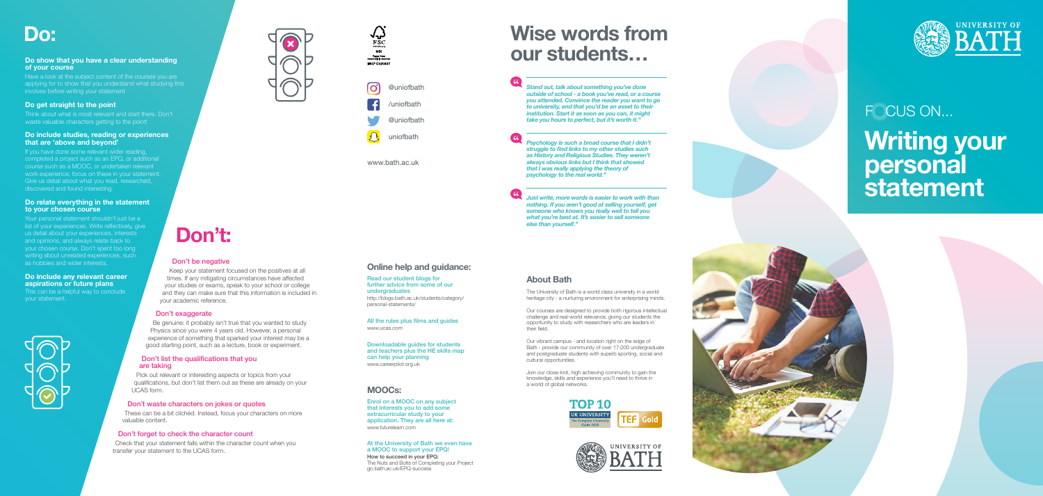## Don't be negative

Keep your statement focused on the positives at all times. If any mitigating circumstances have affected your studies or exams, speak to your school or college and they can make sure that this information is included in your academic reference.

## Don't exaggerate

Be genuine: it probably isn't true that you wanted to study Physics since you were 4 years old. However, a personal experience of something that sparked your interest may be a good starting point, such as a lecture, book or experiment.

## Do: **Wise words from <br>
Do:** Wise words from and that you have a clear understanding and the students... **our students…**

### Don't list the qualifications that you are taking

Pick out relevant or interesting aspects or topics from your qualifications, but don't list them out as these are already on your UCAS form.

## Don't waste characters on jokes or quotes

These can be a bit clichéd. Instead, focus your characters on more valuable content.

## Don't forget to check the character count

Check that your statement falls within the character count when you transfer your statement to the UCAS form.

*Stand out, talk about something you've done outside of school - a book you've read, or a course you attended. Convince the reader you want to go to university, and that you'd be an asset to their institution. Start it as soon as you can, it might take you hours to perfect, but it's worth it."*

# **Writing your personal statement FOCUS ON...**



*Psychology is such a broad course that I didn't struggle to find links to my other studies such as History and Religious Studies. They weren't always obvious links but I think that showed that I was really applying the theory of psychology to the real world."*

If you have done some relevant wider reading, completed a project such as an EPQ, or additional course such as a MOOC, or undertaken relevant work experience, focus on these in your statement. Give us detail about what you read, researched, discovered and found interesting.

> *Just write, more words is easier to work with than nothing. If you aren't good at selling yourself, get someone who knows you really well to tell you what you're best at. It's easier to sell someone else than yourself."*



Your personal statement shouldn't just be a list of your experiences. Write reflectively, give us detail about your experiences, interests and opinions, and always relate back to your chosen course. Don't spent too long writing about unrelated experiences, such as hobbies and wider interests.

## **Online help and guidance:**

#### Read our student blogs for further advice from some of our undergraduates http://blogs.bath.ac.uk/students/category/ personal-statements/

All the rules plus films and guides www.ucas.com

Downloadable guides for students and teachers plus the HE skills map can help your planning www.careerpilot.org.uk

## **MOOCs:**

Enrol on a MOOC on any subject that interests you to add some extracurricular study to your application. They are all here at: www.futurelearn.com

#### At the University of Bath we even have a MOOC to support your EPQ! How to succeed in your EPQ: The Nuts and Bolts of Completing your Project

go.bath.ac.uk/EPQ-success

 $\frac{66}{1}$ 

 $\begin{array}{c} \begin{array}{c} \text{6} \\ \text{6} \end{array} \end{array}$ 

## **Don't:**

## **Do show that you have a clear understanding of your course**

Have a look at the subject content of the courses you are applying for to show that you understand what studying this involves before writing your statement

## **Do get straight to the point**

Think about what is most relevant and start there. Don't waste valuable characters getting to the point!

### **Do include studies, reading or experiences that are 'above and beyond'**

### **Do relate everything in the statement to your chosen course**

### **Do include any relevant career aspirations or future plans**

This can be a helpful way to conclude your statement.









@uniofbath

uniofbath

www.bath.ac.uk

## **About Bath**

The University of Bath is a world class university in a world heritage city - a nurturing environment for enterprising minds.

Our courses are designed to provide both rigorous intellectual challenge and real-world relevance, giving our students the opportunity to study with researchers who are leaders in their field.

Our vibrant campus - and location right on the edge of Bath - provide our community of over 17,000 undergraduate and postgraduate students with superb sporting, social and cultural opportunities.

Join our close-knit, high achieving community to gain the knowledge, skills and experience you'll need to thrive in a world of global networks.